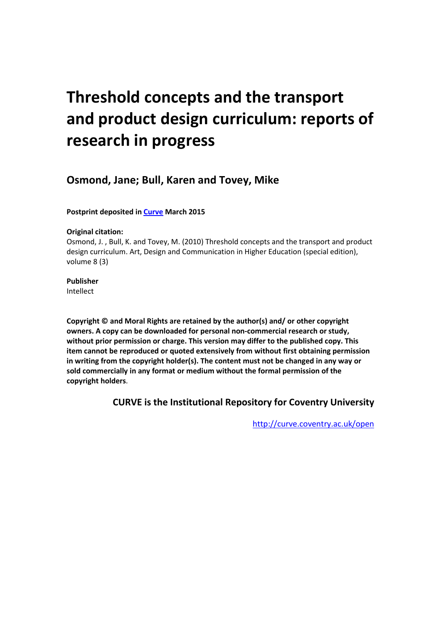# **Threshold concepts and the transport and product design curriculum: reports of research in progress**

# **Osmond, Jane; Bull, Karen and Tovey, Mike**

**Postprint deposited in [Curve](http://curve.coventry.ac.uk/open) March 2015**

# **Original citation:**

Osmond, J. , Bull, K. and Tovey, M. (2010) Threshold concepts and the transport and product design curriculum. Art, Design and Communication in Higher Education (special edition), volume 8 (3)

# **Publisher**

Intellect

**Copyright © and Moral Rights are retained by the author(s) and/ or other copyright owners. A copy can be downloaded for personal non-commercial research or study, without prior permission or charge. This version may differ to the published copy. This item cannot be reproduced or quoted extensively from without first obtaining permission in writing from the copyright holder(s). The content must not be changed in any way or sold commercially in any format or medium without the formal permission of the copyright holders**.

**CURVE is the Institutional Repository for Coventry University**

<http://curve.coventry.ac.uk/open>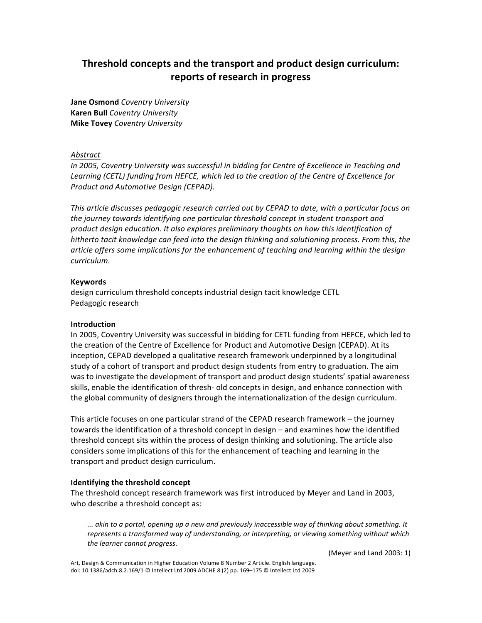# **Threshold concepts and the transport and product design curriculum: reports)of)research)in)progress**

**Jane)Osmond)***Coventry)University)* **Karen)Bull)***Coventry)University)* **Mike)Tovey)***Coventry)University*

#### *Abstract*

In<sub>2005</sub>, Coventry University was successful in bidding for Centre of Excellence in Teaching and Learning (CETL) funding from HEFCE, which led to the creation of the Centre of Excellence for *Product and Automotive Design (CEPAD).* 

This article discusses pedagogic research carried out by CEPAD to date, with a particular focus on the journey towards identifying one particular threshold concept in student transport and *product)design)education.)It)also)explores)preliminary)thoughts)on)how)this)identification)of)* hitherto tacit knowledge can feed into the design thinking and solutioning process. From this, the article offers some implications for the enhancement of teaching and learning within the design *curriculum.*

#### **Keywords**

design curriculum threshold concepts industrial design tacit knowledge CETL Pedagogic research

# **Introduction**

In 2005, Coventry University was successful in bidding for CETL funding from HEFCE, which led to the creation of the Centre of Excellence for Product and Automotive Design (CEPAD). At its inception, CEPAD developed a qualitative research framework underpinned by a longitudinal study of a cohort of transport and product design students from entry to graduation. The aim was to investigate the development of transport and product design students' spatial awareness skills, enable the identification of thresh- old concepts in design, and enhance connection with the global community of designers through the internationalization of the design curriculum.

This article focuses on one particular strand of the CEPAD research framework – the journey towards the identification of a threshold concept in design – and examines how the identified threshold concept sits within the process of design thinking and solutioning. The article also considers some implications of this for the enhancement of teaching and learning in the transport and product design curriculum.

# **Identifying the threshold concept**

The threshold concept research framework was first introduced by Meyer and Land in 2003, who describe a threshold concept as:

*...)akin)to)a)portal,)opening)up)a)new)and)previously)inaccessible)way)of)thinking)about)something.)It)* represents a transformed way of understanding, or interpreting, or viewing something without which the learner cannot progress.

(Meyer and Land 2003:  $1$ )

Art, Design & Communication in Higher Education Volume 8 Number 2 Article. English language. doi: 10.1386/adch.8.2.169/1 © Intellect Ltd 2009 ADCHE 8 (2) pp. 169-175 © Intellect Ltd 2009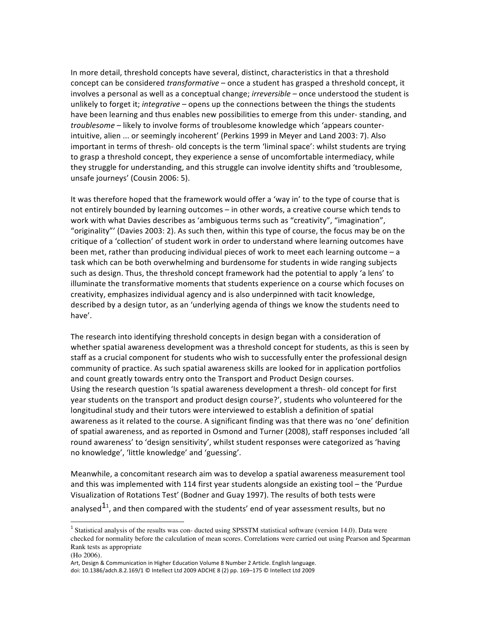In more detail, threshold concepts have several, distinct, characteristics in that a threshold concept can be considered *transformative* – once a student has grasped a threshold concept, it involves a personal as well as a conceptual change; *irreversible* – once understood the student is unlikely to forget it; *integrative* – opens up the connections between the things the students have been learning and thus enables new possibilities to emerge from this under-standing, and *troublesome* – likely to involve forms of troublesome knowledge which 'appears counterintuitive, alien ... or seemingly incoherent' (Perkins 1999 in Meyer and Land 2003: 7). Also important in terms of thresh- old concepts is the term 'liminal space': whilst students are trying to grasp a threshold concept, they experience a sense of uncomfortable intermediacy, while they struggle for understanding, and this struggle can involve identity shifts and 'troublesome, unsafe journeys' (Cousin 2006: 5).

It was therefore hoped that the framework would offer a 'way in' to the type of course that is not entirely bounded by learning outcomes – in other words, a creative course which tends to work with what Davies describes as 'ambiguous terms such as "creativity", "imagination", "originality"' (Davies 2003: 2). As such then, within this type of course, the focus may be on the critique of a 'collection' of student work in order to understand where learning outcomes have been met, rather than producing individual pieces of work to meet each learning outcome – a task which can be both overwhelming and burdensome for students in wide ranging subjects such as design. Thus, the threshold concept framework had the potential to apply 'a lens' to illuminate the transformative moments that students experience on a course which focuses on creativity, emphasizes individual agency and is also underpinned with tacit knowledge, described by a design tutor, as an 'underlying agenda of things we know the students need to have'.

The research into identifying threshold concepts in design began with a consideration of whether spatial awareness development was a threshold concept for students, as this is seen by staff as a crucial component for students who wish to successfully enter the professional design community of practice. As such spatial awareness skills are looked for in application portfolios and count greatly towards entry onto the Transport and Product Design courses. Using the research question 'Is spatial awareness development a thresh- old concept for first year students on the transport and product design course?', students who volunteered for the longitudinal study and their tutors were interviewed to establish a definition of spatial awareness as it related to the course. A significant finding was that there was no 'one' definition of spatial awareness, and as reported in Osmond and Turner (2008), staff responses included 'all round awareness' to 'design sensitivity', whilst student responses were categorized as 'having no knowledge', 'little knowledge' and 'guessing'.

Meanwhile, a concomitant research aim was to develop a spatial awareness measurement tool and this was implemented with 114 first year students alongside an existing tool – the 'Purdue Visualization of Rotations Test' (Bodner and Guay 1997). The results of both tests were analysed $^{11}$ , and then compared with the students' end of year assessment results, but no

(Ho 2006).

 $<sup>1</sup>$  Statistical analysis of the results was con- ducted using SPSSTM statistical software (version 14.0). Data were</sup> checked for normality before the calculation of mean scores. Correlations were carried out using Pearson and Spearman Rank tests as appropriate

Art, Design & Communication in Higher Education Volume 8 Number 2 Article. English language. doi: 10.1386/adch.8.2.169/1 © Intellect Ltd 2009 ADCHE 8 (2) pp. 169-175 © Intellect Ltd 2009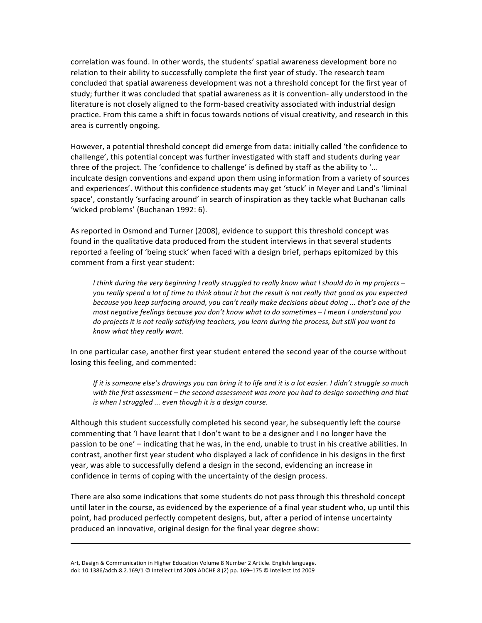correlation was found. In other words, the students' spatial awareness development bore no relation to their ability to successfully complete the first year of study. The research team concluded that spatial awareness development was not a threshold concept for the first year of study; further it was concluded that spatial awareness as it is convention- ally understood in the literature is not closely aligned to the form-based creativity associated with industrial design practice. From this came a shift in focus towards notions of visual creativity, and research in this area is currently ongoing.

However, a potential threshold concept did emerge from data: initially called 'the confidence to challenge', this potential concept was further investigated with staff and students during year three of the project. The 'confidence to challenge' is defined by staff as the ability to '... inculcate design conventions and expand upon them using information from a variety of sources and experiences'. Without this confidence students may get 'stuck' in Meyer and Land's 'liminal space', constantly 'surfacing around' in search of inspiration as they tackle what Buchanan calls 'wicked problems' (Buchanan 1992: 6).

As reported in Osmond and Turner (2008), evidence to support this threshold concept was found in the qualitative data produced from the student interviews in that several students reported a feeling of 'being stuck' when faced with a design brief, perhaps epitomized by this comment from a first year student:

*I*) think during the very beginning I really struggled to really know what I should do in my projects – you really spend a lot of time to think about it but the result is not really that good as you expected because you keep surfacing around, you can't really make decisions about doing ... that's one of the *most)negative)feelings)because)you)don't)know)what)to)do)sometimes)– I)mean)I)understand)you)* do projects it is not really satisfying teachers, you learn during the process, but still you want to *know)what)they)really)want.*

In one particular case, another first year student entered the second year of the course without losing this feeling, and commented:

*If* it is someone else's drawings you can bring it to life and it is a lot easier. I didn't struggle so much with the first assessment – the second assessment was more you had to design something and that *is* when I struggled ... even though it is a design course.

Although this student successfully completed his second year, he subsequently left the course commenting that 'I have learnt that I don't want to be a designer and I no longer have the passion to be one' – indicating that he was, in the end, unable to trust in his creative abilities. In contrast, another first year student who displayed a lack of confidence in his designs in the first year, was able to successfully defend a design in the second, evidencing an increase in confidence in terms of coping with the uncertainty of the design process.

There are also some indications that some students do not pass through this threshold concept until later in the course, as evidenced by the experience of a final year student who, up until this point, had produced perfectly competent designs, but, after a period of intense uncertainty produced an innovative, original design for the final year degree show:

 $\,$  %  $\,$  %  $\,$  %  $\,$  %  $\,$  %  $\,$  %  $\,$  %  $\,$  %  $\,$  %  $\,$  %  $\,$  %  $\,$  %  $\,$  %  $\,$  %  $\,$  %  $\,$  %  $\,$  %  $\,$  %  $\,$  %  $\,$  %  $\,$  %  $\,$  %  $\,$  %  $\,$  %  $\,$  %  $\,$  %  $\,$  %  $\,$  %  $\,$  %  $\,$  %  $\,$  %  $\,$ 

Art, Design & Communication in Higher Education Volume 8 Number 2 Article. English language. doi: 10.1386/adch.8.2.169/1 © Intellect Ltd 2009 ADCHE 8 (2) pp. 169-175 © Intellect Ltd 2009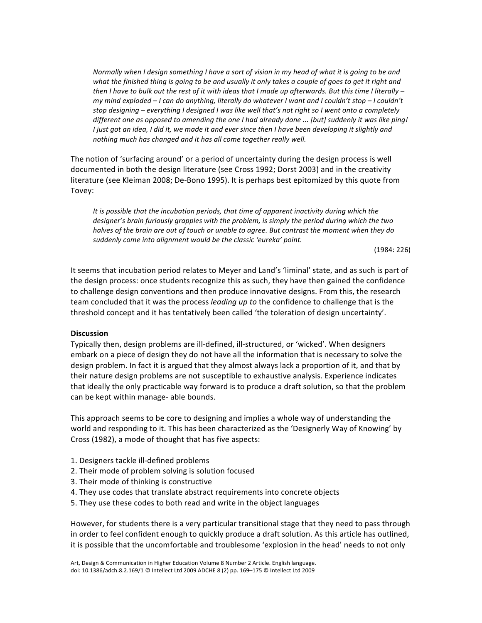*Normally when I design something I have a sort of vision in my head of what it is going to be and* what the finished thing is going to be and usually it only takes a couple of goes to get it right and *then)I)have)to)bulk)out)the)rest)of)it)with)ideas)that)I)made)up)afterwards.)But)this)time)I)literally)– my)mind)exploded)– I)can)do)anything,)literally)do)whatever)I)want)and)I)couldn't)stop)– I)couldn't)* stop designing - everything I designed I was like well that's not right so I went onto a completely different one as opposed to amending the one I had already done ... [but] suddenly it was like ping! *I* just got an idea, I did it, we made it and ever since then I have been developing it slightly and nothing much has changed and it has all come together really well.

The notion of 'surfacing around' or a period of uncertainty during the design process is well documented in both the design literature (see Cross 1992; Dorst 2003) and in the creativity literature (see Kleiman 2008; De-Bono 1995). It is perhaps best epitomized by this quote from Tovey:

It is possible that the incubation periods, that time of apparent inactivity during which the designer's brain furiously grapples with the problem, is simply the period during which the two halves of the brain are out of touch or unable to agree. But contrast the moment when they do suddenly come into alignment would be the classic 'eureka' point.

 $(1984:226)$ 

It seems that incubation period relates to Meyer and Land's 'liminal' state, and as such is part of the design process: once students recognize this as such, they have then gained the confidence to challenge design conventions and then produce innovative designs. From this, the research team concluded that it was the process leading up to the confidence to challenge that is the threshold concept and it has tentatively been called 'the toleration of design uncertainty'.

#### **Discussion**

Typically then, design problems are ill-defined, ill-structured, or 'wicked'. When designers embark on a piece of design they do not have all the information that is necessary to solve the design problem. In fact it is argued that they almost always lack a proportion of it, and that by their nature design problems are not susceptible to exhaustive analysis. Experience indicates that ideally the only practicable way forward is to produce a draft solution, so that the problem can be kept within manage- able bounds.

This approach seems to be core to designing and implies a whole way of understanding the world and responding to it. This has been characterized as the 'Designerly Way of Knowing' by Cross (1982), a mode of thought that has five aspects:

- 1. Designers tackle ill-defined problems
- 2. Their mode of problem solving is solution focused
- 3. Their mode of thinking is constructive
- 4. They use codes that translate abstract requirements into concrete objects
- 5. They use these codes to both read and write in the object languages

However, for students there is a very particular transitional stage that they need to pass through in order to feel confident enough to quickly produce a draft solution. As this article has outlined, it is possible that the uncomfortable and troublesome 'explosion in the head' needs to not only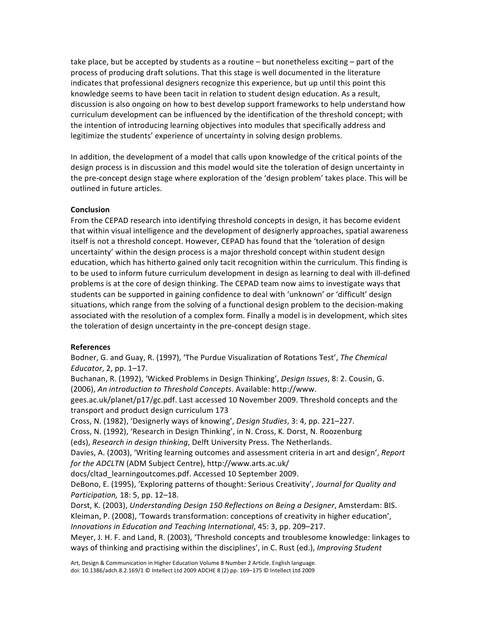take place, but be accepted by students as a routine – but nonetheless exciting – part of the process of producing draft solutions. That this stage is well documented in the literature indicates that professional designers recognize this experience, but up until this point this knowledge seems to have been tacit in relation to student design education. As a result, discussion is also ongoing on how to best develop support frameworks to help understand how curriculum development can be influenced by the identification of the threshold concept; with the intention of introducing learning objectives into modules that specifically address and legitimize the students' experience of uncertainty in solving design problems.

In addition, the development of a model that calls upon knowledge of the critical points of the design process is in discussion and this model would site the toleration of design uncertainty in the pre-concept design stage where exploration of the 'design problem' takes place. This will be outlined in future articles.

#### **Conclusion**

From the CEPAD research into identifying threshold concepts in design, it has become evident that within visual intelligence and the development of designerly approaches, spatial awareness itself is not a threshold concept. However, CEPAD has found that the 'toleration of design uncertainty' within the design process is a major threshold concept within student design education, which has hitherto gained only tacit recognition within the curriculum. This finding is to be used to inform future curriculum development in design as learning to deal with ill-defined problems is at the core of design thinking. The CEPAD team now aims to investigate ways that students can be supported in gaining confidence to deal with 'unknown' or 'difficult' design situations, which range from the solving of a functional design problem to the decision-making associated with the resolution of a complex form. Finally a model is in development, which sites the toleration of design uncertainty in the pre-concept design stage.

#### **References**

Bodner, G. and Guay, R. (1997), 'The Purdue Visualization of Rotations Test', The Chemical *Educator*, 2, pp. 1–17.

Buchanan, R. (1992), 'Wicked Problems in Design Thinking', *Design Issues*, 8: 2. Cousin, G. (2006), An introduction to Threshold Concepts. Available: http://www.

gees.ac.uk/planet/p17/gc.pdf. Last accessed 10 November 2009. Threshold concepts and the transport and product design curriculum 173

Cross,%N.%(1982),%'Designerly%ways%of%knowing',%*Design)Studies*,%3:%4,%pp.%221–227.%

Cross, N. (1992), 'Research in Design Thinking', in N. Cross, K. Dorst, N. Roozenburg (eds), *Research in design thinking*, Delft University Press. The Netherlands.

Davies, A. (2003), 'Writing learning outcomes and assessment criteria in art and design', *Report for the ADCLTN* (ADM Subject Centre), http://www.arts.ac.uk/

docs/cltad\_learningoutcomes.pdf. Accessed 10 September 2009.

DeBono, E. (1995), 'Exploring patterns of thought: Serious Creativity', Journal for Quality and *Participation,* 18: 5, pp. 12–18.

Dorst, K. (2003), Understanding Design 150 Reflections on Being a Designer, Amsterdam: BIS. Kleiman, P. (2008), 'Towards transformation: conceptions of creativity in higher education', Innovations in *Education and Teaching International*, 45: 3, pp. 209–217.

Meyer, J. H. F. and Land, R. (2003), 'Threshold concepts and troublesome knowledge: linkages to ways of thinking and practising within the disciplines', in C. Rust (ed.), *Improving Student*